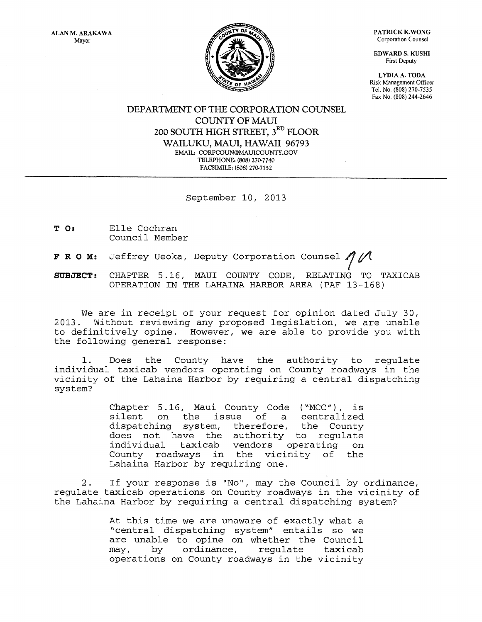PATRICK K.WONG Corporation Counsel

EDWARD S. KUSHI First Deputy

LYDIA A. TODA Risk Management Officer Tel. No. (808) 270-7535 Fax No. (808) 244-2646

וח אז

DEPARTMENT OF THE CORPORATION COUNSEL COUNTY OF MAUl 200 SOUTH HIGH STREET,  $3^{\rm RD}$  FLOOR WAILUKU, MAUl, HAWAII 96793 EMAIL: CORPCOUN@MAUICOUNTY.GOV TELEPHONE: (808) 270·7740 FACSIMILE: (808) 270·7152

September 10, 2013

- T 0: Elle Cochran Council Member
- F R O M: Jeffrey Ueoka, Deputy Corporation Counsel  $\eta$  /

**SUBJECT:**  CHAPTER 5 . 16, MAUI COUNTY CODE, RELATING TO TAXICAB OPERATION IN THE LAHAINA HARBOR AREA (PAF 13-168)

We are in receipt of your request for opinion dated July 30,<br>2013. Without reviewing any proposed legislation, we are unable Without reviewing any proposed legislation, we are unable to definitively opine. However, we are able to provide you with the following general response:

1. Does the County have the authority to regulate individual taxicab vendors operating on County roadways in the vicinity of the Lahaina Harbor by requiring a central dispatching system?

> Chapter 5.16, Maui County Code ("MCC"), is<br>silent on the issue of a centralized ue of a centralized<br>therefore, the County dispatching system, does not have the authority to regulate<br>individual taxicab vendors operating on operating on County roadways in the vicinity of the Lahaina Harbor by requiring one.

2. If your response is "No", may the Council by ordinance, regulate taxicab operations on County roadways in the vicinity of the Lahaina Harbor by requiring a central dispatching system?

> At this time we are unaware of exactly what a "central dispatching system" entails so we are unable to opine on whether the Council may, by ordinance, regulate taxicab operations on County roadways in the vicinity